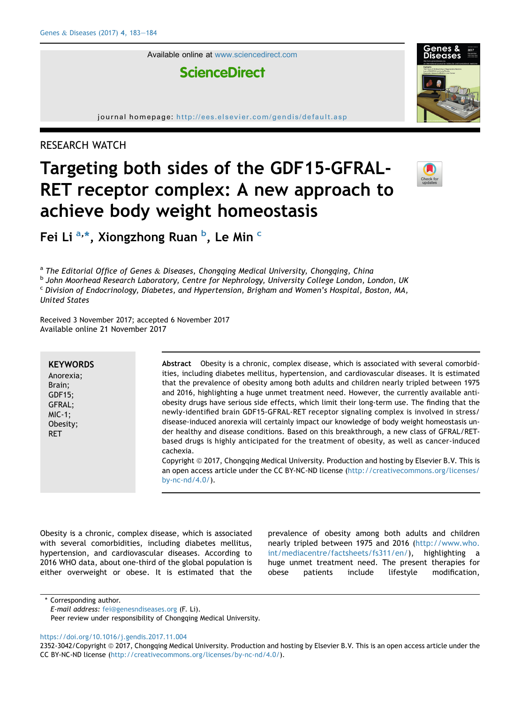Available online at [www.sciencedirect.com](www.sciencedirect.com/science/journal/23523042)

**ScienceDirect** 

journal homepage: <http://ees.elsevier.com/gendis/default.asp>

# RESEARCH WATCH

# Targeting both sides of the GDF15-GFRAL-RET receptor complex: A new approach to achieve body weight homeostasis



Fei Li <sup>a,\*</sup>, Xiongzhong Ruan <sup>b</sup>, Le Min <sup>c</sup>

<sup>a</sup> The Editorial Office of Genes & Diseases, Chongqing Medical University, Chongqing, China<br><sup>b</sup> John Moorhead Research Laboratory, Centre for Nephrology, University College London, London, UK <sup>c</sup> Division of Endocrinology, Diabetes, and Hypertension, Brigham and Women's Hospital, Boston, MA, United States

Received 3 November 2017; accepted 6 November 2017 Available online 21 November 2017

| <b>KEYWORDS</b><br>Anorexia:<br>Brain:<br>$GDF15$ ;<br>GFRAL;<br>$MIC-1$ ;<br>Obesity;<br><b>RET</b> | that the prevalence of obesity among both adults and children nearly tripled between 1975<br>and 2016, highlighting a huge unmet treatment need. However, the currently available anti-<br>obesity drugs have serious side effects, which limit their long-term use. The finding that the<br>newly-identified brain GDF15-GFRAL-RET receptor signaling complex is involved in stress/<br>disease-induced anorexia will certainly impact our knowledge of body weight homeostasis un-<br>der healthy and disease conditions. Based on this breakthrough, a new class of GFRAL/RET-<br>based drugs is highly anticipated for the treatment of obesity, as well as cancer-induced<br>cachexia.<br>Copyright © 2017, Chongqing Medical University. Production and hosting by Elsevier B.V. This is<br>an open access article under the CC BY-NC-ND license (http://creativecommons.org/licenses/<br>by-nc- $nd/4.0/$ ). |
|------------------------------------------------------------------------------------------------------|---------------------------------------------------------------------------------------------------------------------------------------------------------------------------------------------------------------------------------------------------------------------------------------------------------------------------------------------------------------------------------------------------------------------------------------------------------------------------------------------------------------------------------------------------------------------------------------------------------------------------------------------------------------------------------------------------------------------------------------------------------------------------------------------------------------------------------------------------------------------------------------------------------------------|
|                                                                                                      |                                                                                                                                                                                                                                                                                                                                                                                                                                                                                                                                                                                                                                                                                                                                                                                                                                                                                                                     |

Obesity is a chronic, complex disease, which is associated with several comorbidities, including diabetes mellitus, hypertension, and cardiovascular diseases. According to 2016 WHO data, about one-third of the global population is either overweight or obese. It is estimated that the

prevalence of obesity among both adults and children nearly tripled between 1975 and 2016 ([http://www.who.](http://www.who.int/mediacentre/factsheets/fs311/en/) [int/mediacentre/factsheets/fs311/en/\)](http://www.who.int/mediacentre/factsheets/fs311/en/), highlighting a huge unmet treatment need. The present therapies for obese patients include lifestyle modification,

Corresponding author.

Peer review under responsibility of Chongqing Medical University.

<https://doi.org/10.1016/j.gendis.2017.11.004>

E-mail address: [fei@genesndiseases.org](mailto:fei@genesndiseases.org) (F. Li).

<sup>2352-3042/</sup>Copyright © 2017, Chongqing Medical University. Production and hosting by Elsevier B.V. This is an open access article under the CC BY-NC-ND license [\(http://creativecommons.org/licenses/by-nc-nd/4.0/\)](http://creativecommons.org/licenses/by-nc-nd/4.0/).